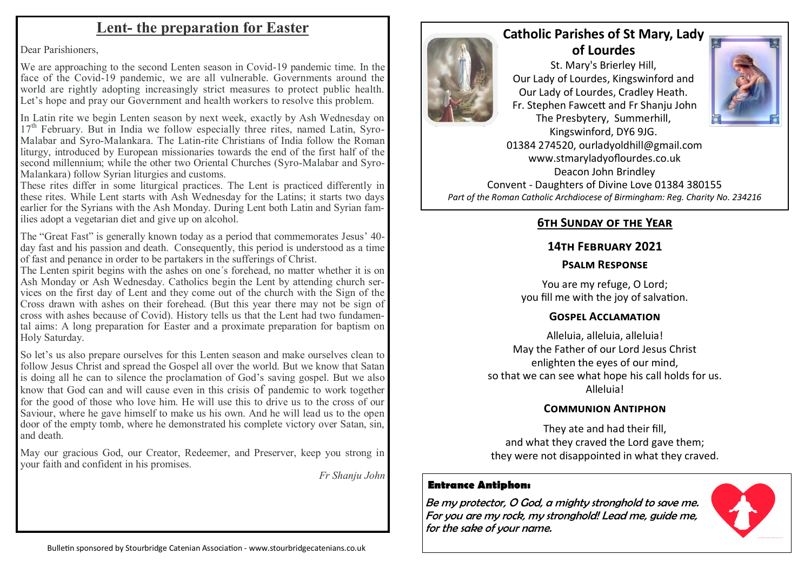## **Lent- the preparation for Easter**

Dear Parishioners,

We are approaching to the second Lenten season in Covid-19 pandemic time. In the face of the Covid-19 pandemic, we are all vulnerable. Governments around the world are rightly adopting increasingly strict measures to protect public health. Let's hope and pray our Government and health workers to resolve this problem.

In Latin rite we begin Lenten season by next week, exactly by Ash Wednesday on  $17<sup>th</sup>$  February. But in India we follow especially three rites, named Latin, Syro-Malabar and Syro-Malankara. The Latin-rite Christians of India follow the Roman liturgy, introduced by European missionaries towards the end of the first half of the second millennium; while the other two Oriental Churches (Syro-Malabar and Syro-Malankara) follow Syrian liturgies and customs.

These rites differ in some liturgical practices. The Lent is practiced differently in these rites. While Lent starts with Ash Wednesday for the Latins; it starts two days earlier for the Syrians with the Ash Monday. During Lent both Latin and Syrian families adopt a vegetarian diet and give up on alcohol.

The "Great Fast" is generally known today as a period that commemorates Jesus' 40 day fast and his passion and death. Consequently, this period is understood as a time of fast and penance in order to be partakers in the sufferings of Christ.

The Lenten spirit begins with the ashes on one´s forehead, no matter whether it is on Ash Monday or Ash Wednesday. Catholics begin the Lent by attending church services on the first day of Lent and they come out of the church with the Sign of the Cross drawn with ashes on their forehead. (But this year there may not be sign of cross with ashes because of Covid). History tells us that the Lent had two fundamental aims: A long preparation for Easter and a proximate preparation for baptism on Holy Saturday.

So let's us also prepare ourselves for this Lenten season and make ourselves clean to follow Jesus Christ and spread the Gospel all over the world. But we know that Satan is doing all he can to silence the proclamation of God's saving gospel. But we also know that God can and will cause even in this crisis of pandemic to work together for the good of those who love him. He will use this to drive us to the cross of our Saviour, where he gave himself to make us his own. And he will lead us to the open door of the empty tomb, where he demonstrated his complete victory over Satan, sin, and death.

May our gracious God, our Creator, Redeemer, and Preserver, keep you strong in your faith and confident in his promises.

*Fr Shanju John*



# **Catholic Parishes of St Mary, Lady of Lourdes**

St. Mary's Brierley Hill, Our Lady of Lourdes, Kingswinford and Our Lady of Lourdes, Cradley Heath. Fr. Stephen Fawcett and Fr Shanju John The Presbytery, Summerhill,



Kingswinford, DY6 9JG. 01384 274520, ourladyoldhill@gmail.com www.stmaryladyoflourdes.co.uk Deacon John Brindley Convent - Daughters of Divine Love 01384 380155 *Part of the Roman Catholic Archdiocese of Birmingham: Reg. Charity No. 234216*

### **6th Sunday of the Year**

### **14th February 2021**

#### **Psalm Response**

You are my refuge, O Lord; you fill me with the joy of salvation.

#### **Gospel Acclamation**

Alleluia, alleluia, alleluia! May the Father of our Lord Jesus Christ enlighten the eyes of our mind, so that we can see what hope his call holds for us. Alleluia!

#### **Communion Antiphon**

They ate and had their fill, and what they craved the Lord gave them; they were not disappointed in what they craved.

#### **Entrance Antiphon:**

Be my protector, O God, a mighty stronghold to save me. For you are my rock, my stronghold! Lead me, guide me, for the sake of your name.